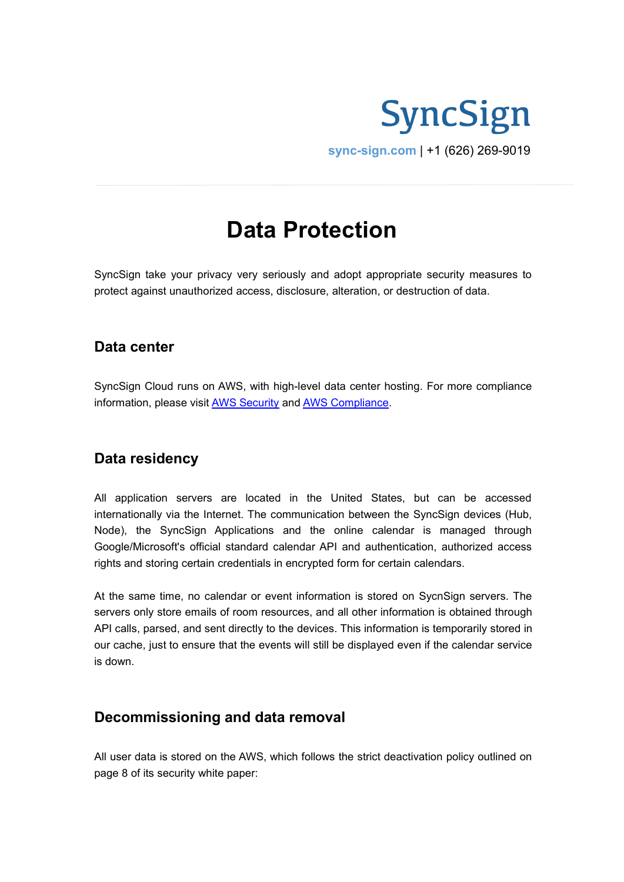

**sync-sign.com** | +1 (626) 269-9019

# **Data Protection**

SyncSign take your privacy very seriously and adopt appropriate security measures to protect against unauthorized access, disclosure, alteration, or destruction of data.

#### **Data center**

SyncSign Cloud runs on AWS, with high-level data center hosting. For more compliance information, please visit AWS [Security](https://aws.amazon.com/security/) and AWS [Compliance](https://aws.amazon.com/compliance/).

### **Data residency**

All application servers are located in the United States, but can be accessed internationally via the Internet. The communication between the SyncSign devices (Hub, Node), the SyncSign Applications and the online calendar is managed through Google/Microsoft's official standard calendar API and authentication, authorized access rights and storing certain credentials in encrypted form for certain calendars.

At the same time, no calendar or event information is stored on SycnSign servers. The servers only store emails of room resources, and all other information is obtained through API calls, parsed, and sent directly to the devices. This information is temporarily stored in our cache, just to ensure that the events will still be displayed even if the calendar service is down.

### **Decommissioning and data removal**

All user data is stored on the AWS, which follows the strict deactivation policy outlined on page 8 of its security white paper: